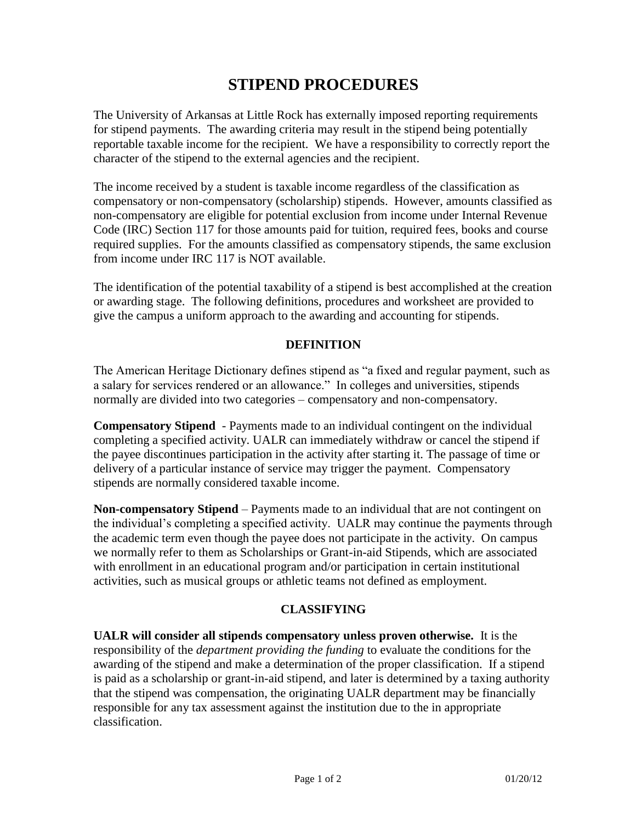## **STIPEND PROCEDURES**

The University of Arkansas at Little Rock has externally imposed reporting requirements for stipend payments. The awarding criteria may result in the stipend being potentially reportable taxable income for the recipient. We have a responsibility to correctly report the character of the stipend to the external agencies and the recipient.

The income received by a student is taxable income regardless of the classification as compensatory or non-compensatory (scholarship) stipends. However, amounts classified as non-compensatory are eligible for potential exclusion from income under Internal Revenue Code (IRC) Section 117 for those amounts paid for tuition, required fees, books and course required supplies. For the amounts classified as compensatory stipends, the same exclusion from income under IRC 117 is NOT available.

The identification of the potential taxability of a stipend is best accomplished at the creation or awarding stage. The following definitions, procedures and worksheet are provided to give the campus a uniform approach to the awarding and accounting for stipends.

## **DEFINITION**

The American Heritage Dictionary defines stipend as "a fixed and regular payment, such as a salary for services rendered or an allowance." In colleges and universities, stipends normally are divided into two categories – compensatory and non-compensatory.

**Compensatory Stipend** - Payments made to an individual contingent on the individual completing a specified activity. UALR can immediately withdraw or cancel the stipend if the payee discontinues participation in the activity after starting it. The passage of time or delivery of a particular instance of service may trigger the payment. Compensatory stipends are normally considered taxable income.

**Non-compensatory Stipend** – Payments made to an individual that are not contingent on the individual's completing a specified activity. UALR may continue the payments through the academic term even though the payee does not participate in the activity. On campus we normally refer to them as Scholarships or Grant-in-aid Stipends, which are associated with enrollment in an educational program and/or participation in certain institutional activities, such as musical groups or athletic teams not defined as employment.

## **CLASSIFYING**

**UALR will consider all stipends compensatory unless proven otherwise.** It is the responsibility of the *department providing the funding* to evaluate the conditions for the awarding of the stipend and make a determination of the proper classification. If a stipend is paid as a scholarship or grant-in-aid stipend, and later is determined by a taxing authority that the stipend was compensation, the originating UALR department may be financially responsible for any tax assessment against the institution due to the in appropriate classification.